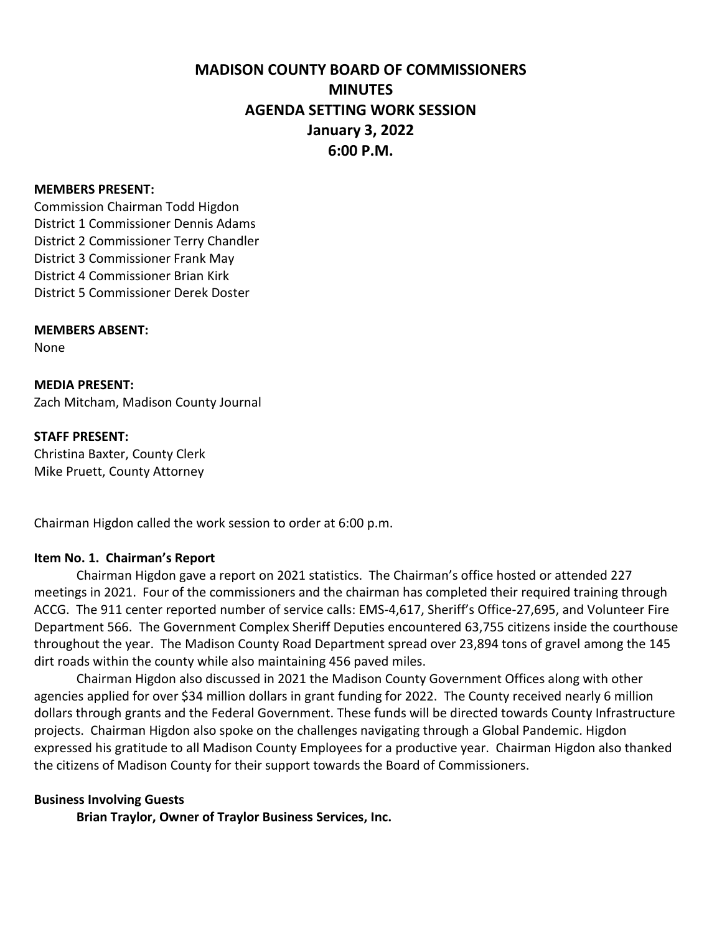# **MADISON COUNTY BOARD OF COMMISSIONERS MINUTES AGENDA SETTING WORK SESSION January 3, 2022 6:00 P.M.**

#### **MEMBERS PRESENT:**

Commission Chairman Todd Higdon District 1 Commissioner Dennis Adams District 2 Commissioner Terry Chandler District 3 Commissioner Frank May District 4 Commissioner Brian Kirk District 5 Commissioner Derek Doster

#### **MEMBERS ABSENT:**

None

**MEDIA PRESENT:** Zach Mitcham, Madison County Journal

#### **STAFF PRESENT:**

Christina Baxter, County Clerk Mike Pruett, County Attorney

Chairman Higdon called the work session to order at 6:00 p.m.

### **Item No. 1. Chairman's Report**

Chairman Higdon gave a report on 2021 statistics. The Chairman's office hosted or attended 227 meetings in 2021. Four of the commissioners and the chairman has completed their required training through ACCG. The 911 center reported number of service calls: EMS-4,617, Sheriff's Office-27,695, and Volunteer Fire Department 566. The Government Complex Sheriff Deputies encountered 63,755 citizens inside the courthouse throughout the year. The Madison County Road Department spread over 23,894 tons of gravel among the 145 dirt roads within the county while also maintaining 456 paved miles.

Chairman Higdon also discussed in 2021 the Madison County Government Offices along with other agencies applied for over \$34 million dollars in grant funding for 2022. The County received nearly 6 million dollars through grants and the Federal Government. These funds will be directed towards County Infrastructure projects. Chairman Higdon also spoke on the challenges navigating through a Global Pandemic. Higdon expressed his gratitude to all Madison County Employees for a productive year. Chairman Higdon also thanked the citizens of Madison County for their support towards the Board of Commissioners.

#### **Business Involving Guests**

**Brian Traylor, Owner of Traylor Business Services, Inc.**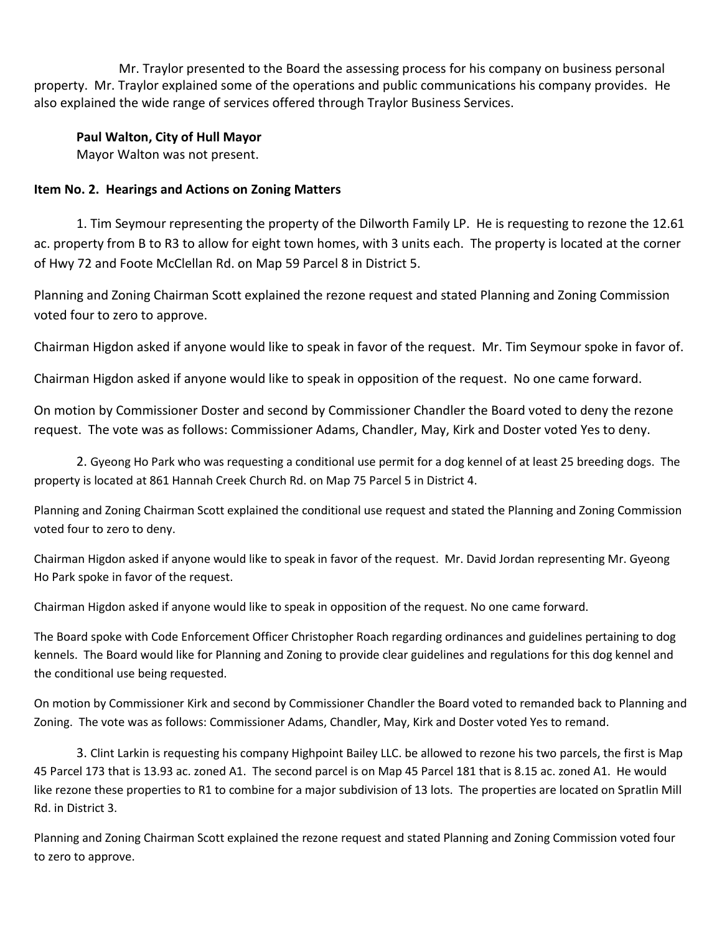Mr. Traylor presented to the Board the assessing process for his company on business personal property. Mr. Traylor explained some of the operations and public communications his company provides. He also explained the wide range of services offered through Traylor Business Services.

**Paul Walton, City of Hull Mayor** 

Mayor Walton was not present.

# **Item No. 2. Hearings and Actions on Zoning Matters**

1. Tim Seymour representing the property of the Dilworth Family LP. He is requesting to rezone the 12.61 ac. property from B to R3 to allow for eight town homes, with 3 units each. The property is located at the corner of Hwy 72 and Foote McClellan Rd. on Map 59 Parcel 8 in District 5.

Planning and Zoning Chairman Scott explained the rezone request and stated Planning and Zoning Commission voted four to zero to approve.

Chairman Higdon asked if anyone would like to speak in favor of the request. Mr. Tim Seymour spoke in favor of.

Chairman Higdon asked if anyone would like to speak in opposition of the request. No one came forward.

On motion by Commissioner Doster and second by Commissioner Chandler the Board voted to deny the rezone request. The vote was as follows: Commissioner Adams, Chandler, May, Kirk and Doster voted Yes to deny.

2. Gyeong Ho Park who was requesting a conditional use permit for a dog kennel of at least 25 breeding dogs. The property is located at 861 Hannah Creek Church Rd. on Map 75 Parcel 5 in District 4.

Planning and Zoning Chairman Scott explained the conditional use request and stated the Planning and Zoning Commission voted four to zero to deny.

Chairman Higdon asked if anyone would like to speak in favor of the request. Mr. David Jordan representing Mr. Gyeong Ho Park spoke in favor of the request.

Chairman Higdon asked if anyone would like to speak in opposition of the request. No one came forward.

The Board spoke with Code Enforcement Officer Christopher Roach regarding ordinances and guidelines pertaining to dog kennels. The Board would like for Planning and Zoning to provide clear guidelines and regulations for this dog kennel and the conditional use being requested.

On motion by Commissioner Kirk and second by Commissioner Chandler the Board voted to remanded back to Planning and Zoning. The vote was as follows: Commissioner Adams, Chandler, May, Kirk and Doster voted Yes to remand.

3. Clint Larkin is requesting his company Highpoint Bailey LLC. be allowed to rezone his two parcels, the first is Map 45 Parcel 173 that is 13.93 ac. zoned A1. The second parcel is on Map 45 Parcel 181 that is 8.15 ac. zoned A1. He would like rezone these properties to R1 to combine for a major subdivision of 13 lots. The properties are located on Spratlin Mill Rd. in District 3.

Planning and Zoning Chairman Scott explained the rezone request and stated Planning and Zoning Commission voted four to zero to approve.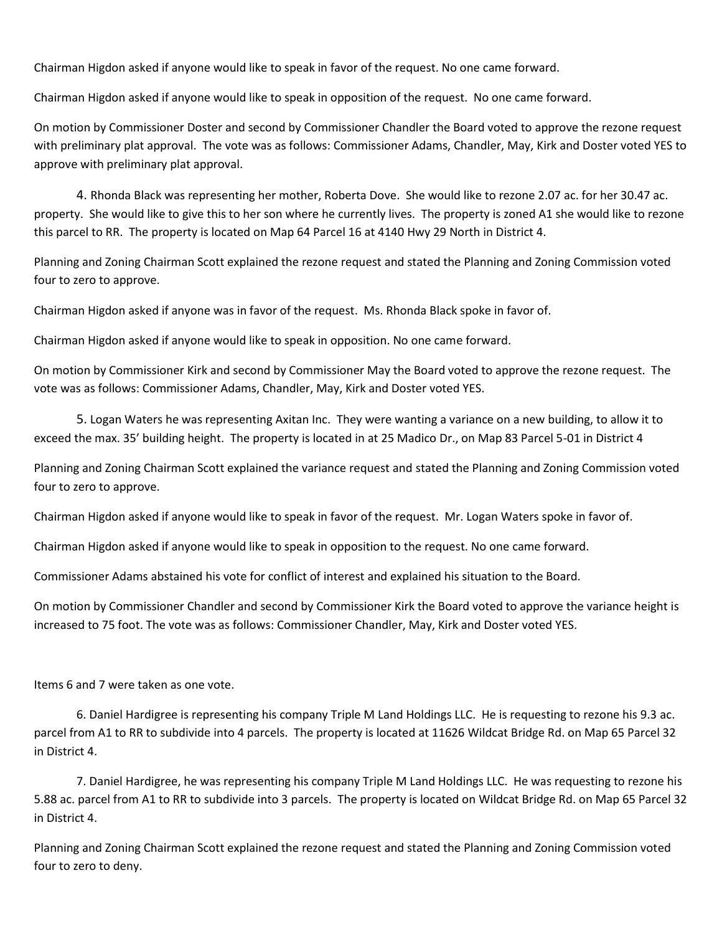Chairman Higdon asked if anyone would like to speak in favor of the request. No one came forward.

Chairman Higdon asked if anyone would like to speak in opposition of the request. No one came forward.

On motion by Commissioner Doster and second by Commissioner Chandler the Board voted to approve the rezone request with preliminary plat approval. The vote was as follows: Commissioner Adams, Chandler, May, Kirk and Doster voted YES to approve with preliminary plat approval.

4. Rhonda Black was representing her mother, Roberta Dove. She would like to rezone 2.07 ac. for her 30.47 ac. property. She would like to give this to her son where he currently lives. The property is zoned A1 she would like to rezone this parcel to RR. The property is located on Map 64 Parcel 16 at 4140 Hwy 29 North in District 4.

Planning and Zoning Chairman Scott explained the rezone request and stated the Planning and Zoning Commission voted four to zero to approve.

Chairman Higdon asked if anyone was in favor of the request. Ms. Rhonda Black spoke in favor of.

Chairman Higdon asked if anyone would like to speak in opposition. No one came forward.

On motion by Commissioner Kirk and second by Commissioner May the Board voted to approve the rezone request. The vote was as follows: Commissioner Adams, Chandler, May, Kirk and Doster voted YES.

5. Logan Waters he was representing Axitan Inc. They were wanting a variance on a new building, to allow it to exceed the max. 35' building height. The property is located in at 25 Madico Dr., on Map 83 Parcel 5-01 in District 4

Planning and Zoning Chairman Scott explained the variance request and stated the Planning and Zoning Commission voted four to zero to approve.

Chairman Higdon asked if anyone would like to speak in favor of the request. Mr. Logan Waters spoke in favor of.

Chairman Higdon asked if anyone would like to speak in opposition to the request. No one came forward.

Commissioner Adams abstained his vote for conflict of interest and explained his situation to the Board.

On motion by Commissioner Chandler and second by Commissioner Kirk the Board voted to approve the variance height is increased to 75 foot. The vote was as follows: Commissioner Chandler, May, Kirk and Doster voted YES.

Items 6 and 7 were taken as one vote.

6. Daniel Hardigree is representing his company Triple M Land Holdings LLC. He is requesting to rezone his 9.3 ac. parcel from A1 to RR to subdivide into 4 parcels. The property is located at 11626 Wildcat Bridge Rd. on Map 65 Parcel 32 in District 4.

7. Daniel Hardigree, he was representing his company Triple M Land Holdings LLC. He was requesting to rezone his 5.88 ac. parcel from A1 to RR to subdivide into 3 parcels. The property is located on Wildcat Bridge Rd. on Map 65 Parcel 32 in District 4.

Planning and Zoning Chairman Scott explained the rezone request and stated the Planning and Zoning Commission voted four to zero to deny.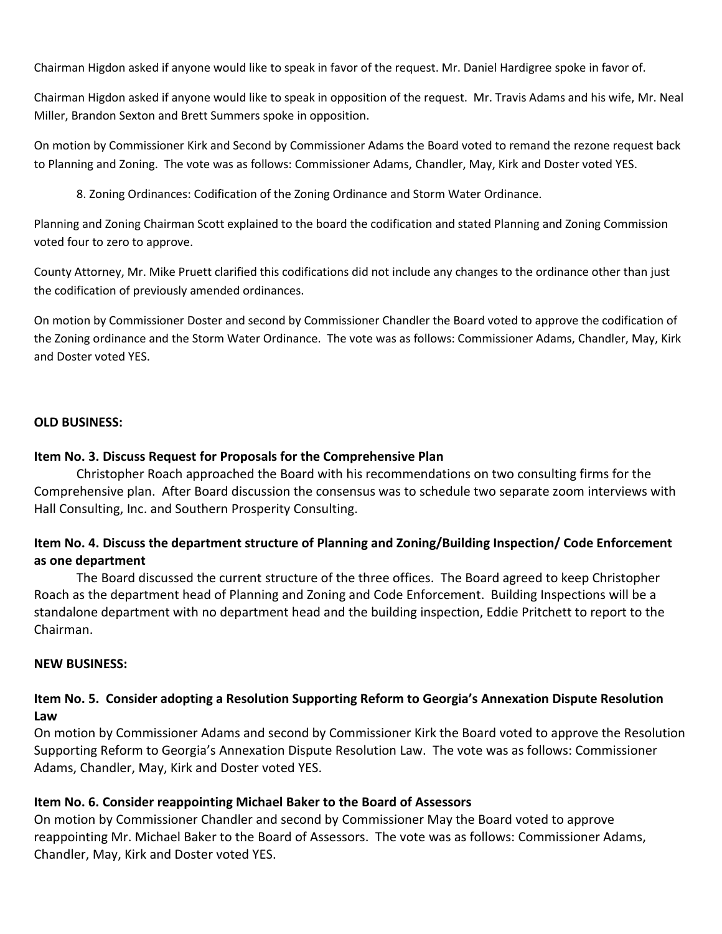Chairman Higdon asked if anyone would like to speak in favor of the request. Mr. Daniel Hardigree spoke in favor of.

Chairman Higdon asked if anyone would like to speak in opposition of the request. Mr. Travis Adams and his wife, Mr. Neal Miller, Brandon Sexton and Brett Summers spoke in opposition.

On motion by Commissioner Kirk and Second by Commissioner Adams the Board voted to remand the rezone request back to Planning and Zoning. The vote was as follows: Commissioner Adams, Chandler, May, Kirk and Doster voted YES.

8. Zoning Ordinances: Codification of the Zoning Ordinance and Storm Water Ordinance.

Planning and Zoning Chairman Scott explained to the board the codification and stated Planning and Zoning Commission voted four to zero to approve.

County Attorney, Mr. Mike Pruett clarified this codifications did not include any changes to the ordinance other than just the codification of previously amended ordinances.

On motion by Commissioner Doster and second by Commissioner Chandler the Board voted to approve the codification of the Zoning ordinance and the Storm Water Ordinance. The vote was as follows: Commissioner Adams, Chandler, May, Kirk and Doster voted YES.

### **OLD BUSINESS:**

### **Item No. 3. Discuss Request for Proposals for the Comprehensive Plan**

Christopher Roach approached the Board with his recommendations on two consulting firms for the Comprehensive plan. After Board discussion the consensus was to schedule two separate zoom interviews with Hall Consulting, Inc. and Southern Prosperity Consulting.

# **Item No. 4. Discuss the department structure of Planning and Zoning/Building Inspection/ Code Enforcement as one department**

The Board discussed the current structure of the three offices. The Board agreed to keep Christopher Roach as the department head of Planning and Zoning and Code Enforcement. Building Inspections will be a standalone department with no department head and the building inspection, Eddie Pritchett to report to the Chairman.

### **NEW BUSINESS:**

# **Item No. 5. Consider adopting a Resolution Supporting Reform to Georgia's Annexation Dispute Resolution Law**

On motion by Commissioner Adams and second by Commissioner Kirk the Board voted to approve the Resolution Supporting Reform to Georgia's Annexation Dispute Resolution Law. The vote was as follows: Commissioner Adams, Chandler, May, Kirk and Doster voted YES.

# **Item No. 6. Consider reappointing Michael Baker to the Board of Assessors**

On motion by Commissioner Chandler and second by Commissioner May the Board voted to approve reappointing Mr. Michael Baker to the Board of Assessors. The vote was as follows: Commissioner Adams, Chandler, May, Kirk and Doster voted YES.